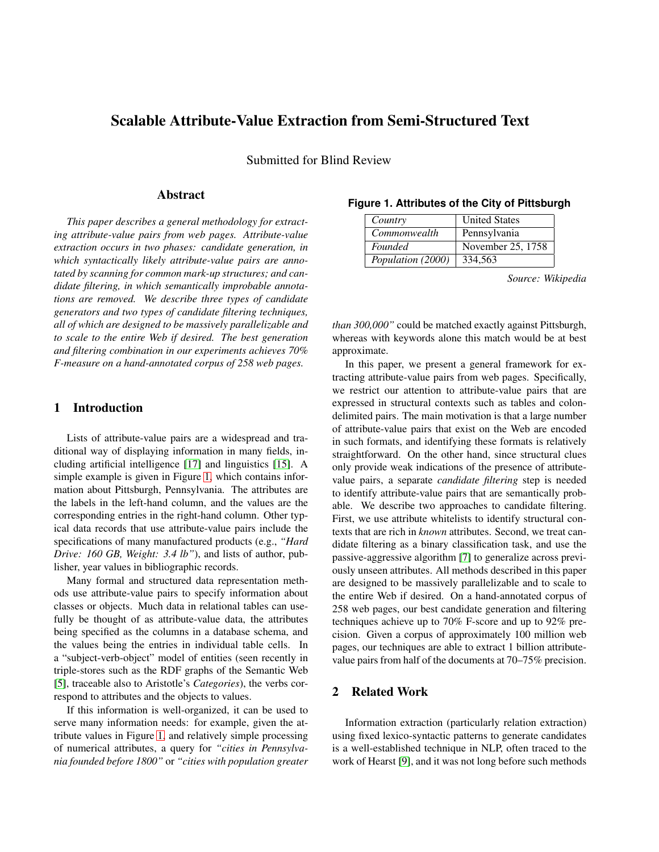# **Scalable Attribute-Value Extraction from Semi-Structured Text**

Submitted for Blind Review

## **Abstract**

*This paper describes a general methodology for extracting attribute-value pairs from web pages. Attribute-value extraction occurs in two phases: candidate generation, in which syntactically likely attribute-value pairs are annotated by scanning for common mark-up structures; and candidate filtering, in which semantically improbable annotations are removed. We describe three types of candidate generators and two types of candidate filtering techniques, all of which are designed to be massively parallelizable and to scale to the entire Web if desired. The best generation and filtering combination in our experiments achieves 70% F-measure on a hand-annotated corpus of 258 web pages.*

### **1 Introduction**

Lists of attribute-value pairs are a widespread and traditional way of displaying information in many fields, including artificial intelligence [\[17\]](#page-8-0) and linguistics [\[15\]](#page-8-1). A simple example is given in Figure [1,](#page-0-0) which contains information about Pittsburgh, Pennsylvania. The attributes are the labels in the left-hand column, and the values are the corresponding entries in the right-hand column. Other typical data records that use attribute-value pairs include the specifications of many manufactured products (e.g., *"Hard Drive: 160 GB, Weight: 3.4 lb"*), and lists of author, publisher, year values in bibliographic records.

Many formal and structured data representation methods use attribute-value pairs to specify information about classes or objects. Much data in relational tables can usefully be thought of as attribute-value data, the attributes being specified as the columns in a database schema, and the values being the entries in individual table cells. In a "subject-verb-object" model of entities (seen recently in triple-stores such as the RDF graphs of the Semantic Web [\[5\]](#page-8-2), traceable also to Aristotle's *Categories*), the verbs correspond to attributes and the objects to values.

If this information is well-organized, it can be used to serve many information needs: for example, given the attribute values in Figure [1,](#page-0-0) and relatively simple processing of numerical attributes, a query for *"cities in Pennsylvania founded before 1800"* or *"cities with population greater*

| Country           | <b>United States</b> |
|-------------------|----------------------|
| Commonwealth      | Pennsylvania         |
| <b>Founded</b>    | November 25, 1758    |
| Population (2000) | 334.563              |

#### <span id="page-0-0"></span>**Figure 1. Attributes of the City of Pittsburgh**

*Source: Wikipedia*

*than 300,000"* could be matched exactly against Pittsburgh, whereas with keywords alone this match would be at best approximate.

In this paper, we present a general framework for extracting attribute-value pairs from web pages. Specifically, we restrict our attention to attribute-value pairs that are expressed in structural contexts such as tables and colondelimited pairs. The main motivation is that a large number of attribute-value pairs that exist on the Web are encoded in such formats, and identifying these formats is relatively straightforward. On the other hand, since structural clues only provide weak indications of the presence of attributevalue pairs, a separate *candidate filtering* step is needed to identify attribute-value pairs that are semantically probable. We describe two approaches to candidate filtering. First, we use attribute whitelists to identify structural contexts that are rich in *known* attributes. Second, we treat candidate filtering as a binary classification task, and use the passive-aggressive algorithm [\[7\]](#page-8-3) to generalize across previously unseen attributes. All methods described in this paper are designed to be massively parallelizable and to scale to the entire Web if desired. On a hand-annotated corpus of 258 web pages, our best candidate generation and filtering techniques achieve up to 70% F-score and up to 92% precision. Given a corpus of approximately 100 million web pages, our techniques are able to extract 1 billion attributevalue pairs from half of the documents at 70–75% precision.

#### **2 Related Work**

Information extraction (particularly relation extraction) using fixed lexico-syntactic patterns to generate candidates is a well-established technique in NLP, often traced to the work of Hearst [\[9\]](#page-8-4), and it was not long before such methods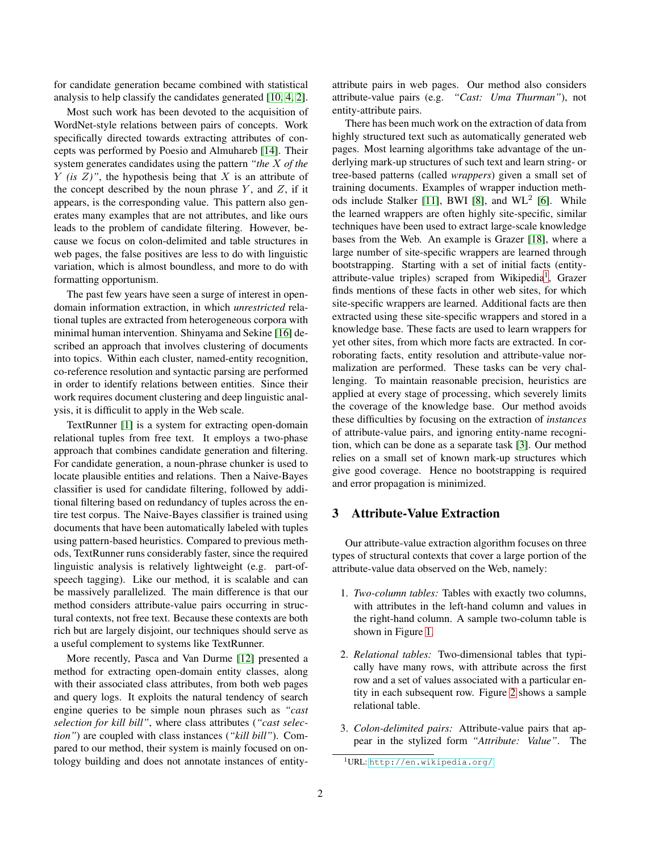for candidate generation became combined with statistical analysis to help classify the candidates generated [\[10,](#page-8-5) [4,](#page-8-6) [2\]](#page-8-7).

Most such work has been devoted to the acquisition of WordNet-style relations between pairs of concepts. Work specifically directed towards extracting attributes of concepts was performed by Poesio and Almuhareb [\[14\]](#page-8-8). Their system generates candidates using the pattern *"the* X *of the*  $Y$  *(is Z)*", the hypothesis being that X is an attribute of the concept described by the noun phrase  $Y$ , and  $Z$ , if it appears, is the corresponding value. This pattern also generates many examples that are not attributes, and like ours leads to the problem of candidate filtering. However, because we focus on colon-delimited and table structures in web pages, the false positives are less to do with linguistic variation, which is almost boundless, and more to do with formatting opportunism.

The past few years have seen a surge of interest in opendomain information extraction, in which *unrestricted* relational tuples are extracted from heterogeneous corpora with minimal human intervention. Shinyama and Sekine [\[16\]](#page-8-9) described an approach that involves clustering of documents into topics. Within each cluster, named-entity recognition, co-reference resolution and syntactic parsing are performed in order to identify relations between entities. Since their work requires document clustering and deep linguistic analysis, it is difficulit to apply in the Web scale.

TextRunner [\[1\]](#page-8-10) is a system for extracting open-domain relational tuples from free text. It employs a two-phase approach that combines candidate generation and filtering. For candidate generation, a noun-phrase chunker is used to locate plausible entities and relations. Then a Naive-Bayes classifier is used for candidate filtering, followed by additional filtering based on redundancy of tuples across the entire test corpus. The Naive-Bayes classifier is trained using documents that have been automatically labeled with tuples using pattern-based heuristics. Compared to previous methods, TextRunner runs considerably faster, since the required linguistic analysis is relatively lightweight (e.g. part-ofspeech tagging). Like our method, it is scalable and can be massively parallelized. The main difference is that our method considers attribute-value pairs occurring in structural contexts, not free text. Because these contexts are both rich but are largely disjoint, our techniques should serve as a useful complement to systems like TextRunner.

More recently, Pasca and Van Durme [\[12\]](#page-8-11) presented a method for extracting open-domain entity classes, along with their associated class attributes, from both web pages and query logs. It exploits the natural tendency of search engine queries to be simple noun phrases such as *"cast selection for kill bill"*, where class attributes (*"cast selection"*) are coupled with class instances (*"kill bill"*). Compared to our method, their system is mainly focused on ontology building and does not annotate instances of entityattribute pairs in web pages. Our method also considers attribute-value pairs (e.g. *"Cast: Uma Thurman"*), not entity-attribute pairs.

There has been much work on the extraction of data from highly structured text such as automatically generated web pages. Most learning algorithms take advantage of the underlying mark-up structures of such text and learn string- or tree-based patterns (called *wrappers*) given a small set of training documents. Examples of wrapper induction meth-ods include Stalker [\[11\]](#page-8-12), BWI [\[8\]](#page-8-13), and  $WL^2$  [\[6\]](#page-8-14). While the learned wrappers are often highly site-specific, similar techniques have been used to extract large-scale knowledge bases from the Web. An example is Grazer [\[18\]](#page-8-15), where a large number of site-specific wrappers are learned through bootstrapping. Starting with a set of initial facts (entity-attribute-value triples) scraped from Wikipedia<sup>[1](#page-1-0)</sup>, Grazer finds mentions of these facts in other web sites, for which site-specific wrappers are learned. Additional facts are then extracted using these site-specific wrappers and stored in a knowledge base. These facts are used to learn wrappers for yet other sites, from which more facts are extracted. In corroborating facts, entity resolution and attribute-value normalization are performed. These tasks can be very challenging. To maintain reasonable precision, heuristics are applied at every stage of processing, which severely limits the coverage of the knowledge base. Our method avoids these difficulties by focusing on the extraction of *instances* of attribute-value pairs, and ignoring entity-name recognition, which can be done as a separate task [\[3\]](#page-8-16). Our method relies on a small set of known mark-up structures which give good coverage. Hence no bootstrapping is required and error propagation is minimized.

#### **3 Attribute-Value Extraction**

Our attribute-value extraction algorithm focuses on three types of structural contexts that cover a large portion of the attribute-value data observed on the Web, namely:

- 1. *Two-column tables:* Tables with exactly two columns, with attributes in the left-hand column and values in the right-hand column. A sample two-column table is shown in Figure [1.](#page-0-0)
- 2. *Relational tables:* Two-dimensional tables that typically have many rows, with attribute across the first row and a set of values associated with a particular entity in each subsequent row. Figure [2](#page-2-0) shows a sample relational table.
- 3. *Colon-delimited pairs:* Attribute-value pairs that appear in the stylized form *"Attribute: Value"*. The

<span id="page-1-0"></span><sup>1</sup>URL: <http://en.wikipedia.org/>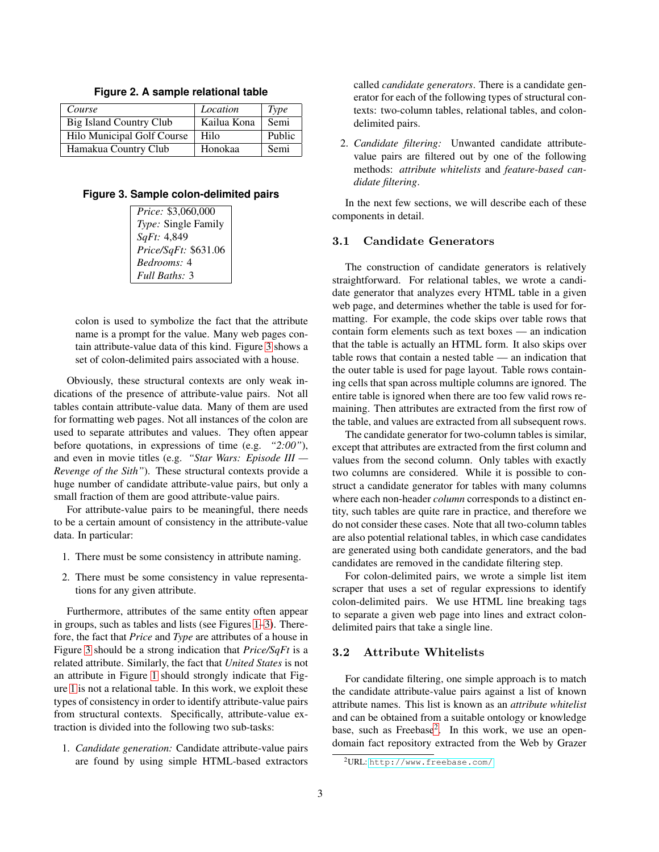<span id="page-2-0"></span>

| Course                         | Location    | <b>Type</b> |
|--------------------------------|-------------|-------------|
| <b>Big Island Country Club</b> | Kailua Kona | Semi        |
| Hilo Municipal Golf Course     | Hilo        | Public      |
| Hamakua Country Club           | Honokaa     | Semi        |

**Figure 2. A sample relational table**

<span id="page-2-1"></span>**Figure 3. Sample colon-delimited pairs**

| <i>Price:</i> \$3,060,000 |  |
|---------------------------|--|
| Type: Single Family       |  |
| SqFt: 4,849               |  |
| Price/SqFt: \$631.06      |  |
| <i>Bedrooms:</i> 4        |  |
| Full Baths: 3             |  |

colon is used to symbolize the fact that the attribute name is a prompt for the value. Many web pages contain attribute-value data of this kind. Figure [3](#page-2-1) shows a set of colon-delimited pairs associated with a house.

Obviously, these structural contexts are only weak indications of the presence of attribute-value pairs. Not all tables contain attribute-value data. Many of them are used for formatting web pages. Not all instances of the colon are used to separate attributes and values. They often appear before quotations, in expressions of time (e.g. *"2:00"*), and even in movie titles (e.g. *"Star Wars: Episode III — Revenge of the Sith"*). These structural contexts provide a huge number of candidate attribute-value pairs, but only a small fraction of them are good attribute-value pairs.

For attribute-value pairs to be meaningful, there needs to be a certain amount of consistency in the attribute-value data. In particular:

- 1. There must be some consistency in attribute naming.
- 2. There must be some consistency in value representations for any given attribute.

Furthermore, attributes of the same entity often appear in groups, such as tables and lists (see Figures [1–](#page-0-0)[3\)](#page-2-1). Therefore, the fact that *Price* and *Type* are attributes of a house in Figure [3](#page-2-1) should be a strong indication that *Price/SqFt* is a related attribute. Similarly, the fact that *United States* is not an attribute in Figure [1](#page-0-0) should strongly indicate that Figure [1](#page-0-0) is not a relational table. In this work, we exploit these types of consistency in order to identify attribute-value pairs from structural contexts. Specifically, attribute-value extraction is divided into the following two sub-tasks:

1. *Candidate generation:* Candidate attribute-value pairs are found by using simple HTML-based extractors

called *candidate generators*. There is a candidate generator for each of the following types of structural contexts: two-column tables, relational tables, and colondelimited pairs.

2. *Candidate filtering:* Unwanted candidate attributevalue pairs are filtered out by one of the following methods: *attribute whitelists* and *feature-based candidate filtering*.

In the next few sections, we will describe each of these components in detail.

#### 3.1 Candidate Generators

The construction of candidate generators is relatively straightforward. For relational tables, we wrote a candidate generator that analyzes every HTML table in a given web page, and determines whether the table is used for formatting. For example, the code skips over table rows that contain form elements such as text boxes — an indication that the table is actually an HTML form. It also skips over table rows that contain a nested table — an indication that the outer table is used for page layout. Table rows containing cells that span across multiple columns are ignored. The entire table is ignored when there are too few valid rows remaining. Then attributes are extracted from the first row of the table, and values are extracted from all subsequent rows.

The candidate generator for two-column tables is similar, except that attributes are extracted from the first column and values from the second column. Only tables with exactly two columns are considered. While it is possible to construct a candidate generator for tables with many columns where each non-header *column* corresponds to a distinct entity, such tables are quite rare in practice, and therefore we do not consider these cases. Note that all two-column tables are also potential relational tables, in which case candidates are generated using both candidate generators, and the bad candidates are removed in the candidate filtering step.

For colon-delimited pairs, we wrote a simple list item scraper that uses a set of regular expressions to identify colon-delimited pairs. We use HTML line breaking tags to separate a given web page into lines and extract colondelimited pairs that take a single line.

#### <span id="page-2-3"></span>3.2 Attribute Whitelists

For candidate filtering, one simple approach is to match the candidate attribute-value pairs against a list of known attribute names. This list is known as an *attribute whitelist* and can be obtained from a suitable ontology or knowledge base, such as Freebase<sup>[2](#page-2-2)</sup>. In this work, we use an opendomain fact repository extracted from the Web by Grazer

<span id="page-2-2"></span><sup>2</sup>URL: <http://www.freebase.com/>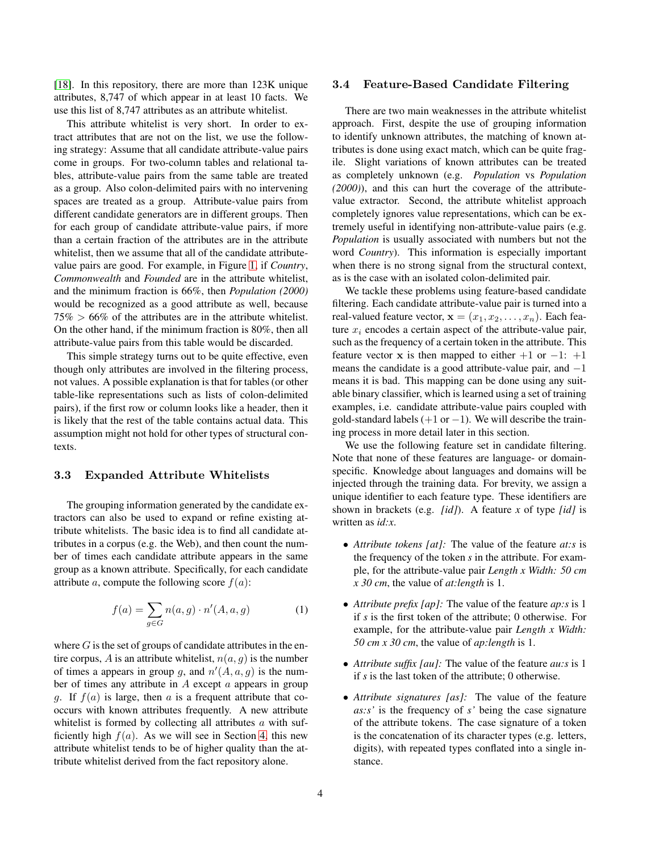[\[18\]](#page-8-15). In this repository, there are more than 123K unique attributes, 8,747 of which appear in at least 10 facts. We use this list of 8,747 attributes as an attribute whitelist.

This attribute whitelist is very short. In order to extract attributes that are not on the list, we use the following strategy: Assume that all candidate attribute-value pairs come in groups. For two-column tables and relational tables, attribute-value pairs from the same table are treated as a group. Also colon-delimited pairs with no intervening spaces are treated as a group. Attribute-value pairs from different candidate generators are in different groups. Then for each group of candidate attribute-value pairs, if more than a certain fraction of the attributes are in the attribute whitelist, then we assume that all of the candidate attributevalue pairs are good. For example, in Figure [1,](#page-0-0) if *Country*, *Commonwealth* and *Founded* are in the attribute whitelist, and the minimum fraction is 66%, then *Population (2000)* would be recognized as a good attribute as well, because  $75\% > 66\%$  of the attributes are in the attribute whitelist. On the other hand, if the minimum fraction is 80%, then all attribute-value pairs from this table would be discarded.

This simple strategy turns out to be quite effective, even though only attributes are involved in the filtering process, not values. A possible explanation is that for tables (or other table-like representations such as lists of colon-delimited pairs), if the first row or column looks like a header, then it is likely that the rest of the table contains actual data. This assumption might not hold for other types of structural contexts.

#### 3.3 Expanded Attribute Whitelists

The grouping information generated by the candidate extractors can also be used to expand or refine existing attribute whitelists. The basic idea is to find all candidate attributes in a corpus (e.g. the Web), and then count the number of times each candidate attribute appears in the same group as a known attribute. Specifically, for each candidate attribute a, compute the following score  $f(a)$ :

$$
f(a) = \sum_{g \in G} n(a, g) \cdot n'(A, a, g) \tag{1}
$$

where  $G$  is the set of groups of candidate attributes in the entire corpus, A is an attribute whitelist,  $n(a, q)$  is the number of times a appears in group g, and  $n'(A, a, g)$  is the number of times any attribute in  $A$  except  $\alpha$  appears in group g. If  $f(a)$  is large, then a is a frequent attribute that cooccurs with known attributes frequently. A new attribute whitelist is formed by collecting all attributes  $a$  with sufficiently high  $f(a)$ . As we will see in Section [4,](#page-5-0) this new attribute whitelist tends to be of higher quality than the attribute whitelist derived from the fact repository alone.

#### 3.4 Feature-Based Candidate Filtering

There are two main weaknesses in the attribute whitelist approach. First, despite the use of grouping information to identify unknown attributes, the matching of known attributes is done using exact match, which can be quite fragile. Slight variations of known attributes can be treated as completely unknown (e.g. *Population* vs *Population (2000)*), and this can hurt the coverage of the attributevalue extractor. Second, the attribute whitelist approach completely ignores value representations, which can be extremely useful in identifying non-attribute-value pairs (e.g. *Population* is usually associated with numbers but not the word *Country*). This information is especially important when there is no strong signal from the structural context, as is the case with an isolated colon-delimited pair.

We tackle these problems using feature-based candidate filtering. Each candidate attribute-value pair is turned into a real-valued feature vector,  $\mathbf{x} = (x_1, x_2, \dots, x_n)$ . Each feature  $x_i$  encodes a certain aspect of the attribute-value pair, such as the frequency of a certain token in the attribute. This feature vector x is then mapped to either  $+1$  or  $-1$ :  $+1$ means the candidate is a good attribute-value pair, and  $-1$ means it is bad. This mapping can be done using any suitable binary classifier, which is learned using a set of training examples, i.e. candidate attribute-value pairs coupled with gold-standard labels  $(+1 \text{ or } -1)$ . We will describe the training process in more detail later in this section.

We use the following feature set in candidate filtering. Note that none of these features are language- or domainspecific. Knowledge about languages and domains will be injected through the training data. For brevity, we assign a unique identifier to each feature type. These identifiers are shown in brackets (e.g. *[id]*). A feature *x* of type *[id]* is written as *id:x*.

- *Attribute tokens [at]:* The value of the feature *at:s* is the frequency of the token *s* in the attribute. For example, for the attribute-value pair *Length x Width: 50 cm x 30 cm*, the value of *at:length* is 1.
- *Attribute prefix [ap]:* The value of the feature *ap:s* is 1 if *s* is the first token of the attribute; 0 otherwise. For example, for the attribute-value pair *Length x Width: 50 cm x 30 cm*, the value of *ap:length* is 1.
- *Attribute suffix [au]:* The value of the feature *au:s* is 1 if *s* is the last token of the attribute; 0 otherwise.
- *Attribute signatures [as]:* The value of the feature *as:s'* is the frequency of *s'* being the case signature of the attribute tokens. The case signature of a token is the concatenation of its character types (e.g. letters, digits), with repeated types conflated into a single instance.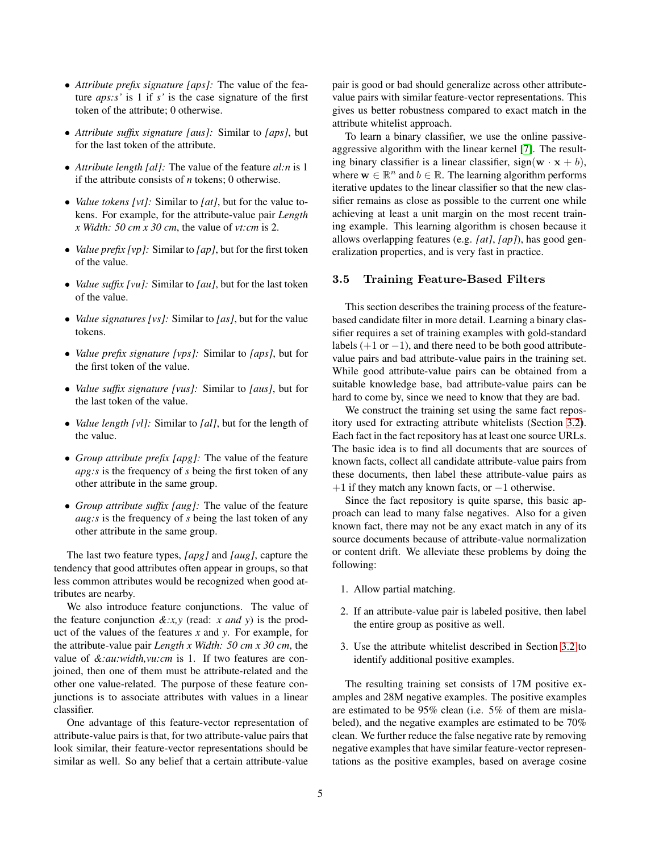- *Attribute prefix signature [aps]:* The value of the feature *aps:s'* is 1 if *s'* is the case signature of the first token of the attribute; 0 otherwise.
- *Attribute suffix signature [aus]:* Similar to *[aps]*, but for the last token of the attribute.
- *Attribute length [al]:* The value of the feature *al:n* is 1 if the attribute consists of *n* tokens; 0 otherwise.
- *Value tokens [vt]:* Similar to *[at]*, but for the value tokens. For example, for the attribute-value pair *Length x Width: 50 cm x 30 cm*, the value of *vt:cm* is 2.
- *Value prefix [vp]:* Similar to *[ap]*, but for the first token of the value.
- *Value suffix [vu]:* Similar to *[au]*, but for the last token of the value.
- *Value signatures [vs]:* Similar to *[as]*, but for the value tokens.
- *Value prefix signature [vps]:* Similar to *[aps]*, but for the first token of the value.
- *Value suffix signature [vus]:* Similar to *[aus]*, but for the last token of the value.
- *Value length [vl]:* Similar to *[al]*, but for the length of the value.
- *Group attribute prefix [apg]:* The value of the feature *apg:s* is the frequency of *s* being the first token of any other attribute in the same group.
- *Group attribute suffix [aug]:* The value of the feature *aug:s* is the frequency of *s* being the last token of any other attribute in the same group.

The last two feature types, *[apg]* and *[aug]*, capture the tendency that good attributes often appear in groups, so that less common attributes would be recognized when good attributes are nearby.

We also introduce feature conjunctions. The value of the feature conjunction *&:x,y* (read: *x and y*) is the product of the values of the features *x* and *y*. For example, for the attribute-value pair *Length x Width: 50 cm x 30 cm*, the value of *&:au:width,vu:cm* is 1. If two features are conjoined, then one of them must be attribute-related and the other one value-related. The purpose of these feature conjunctions is to associate attributes with values in a linear classifier.

One advantage of this feature-vector representation of attribute-value pairs is that, for two attribute-value pairs that look similar, their feature-vector representations should be similar as well. So any belief that a certain attribute-value

pair is good or bad should generalize across other attributevalue pairs with similar feature-vector representations. This gives us better robustness compared to exact match in the attribute whitelist approach.

To learn a binary classifier, we use the online passiveaggressive algorithm with the linear kernel [\[7\]](#page-8-3). The resulting binary classifier is a linear classifier, sign( $w \cdot x + b$ ), where  $\mathbf{w} \in \mathbb{R}^n$  and  $b \in \mathbb{R}$ . The learning algorithm performs iterative updates to the linear classifier so that the new classifier remains as close as possible to the current one while achieving at least a unit margin on the most recent training example. This learning algorithm is chosen because it allows overlapping features (e.g. *[at]*, *[ap]*), has good generalization properties, and is very fast in practice.

#### 3.5 Training Feature-Based Filters

This section describes the training process of the featurebased candidate filter in more detail. Learning a binary classifier requires a set of training examples with gold-standard labels  $(+1 \text{ or } -1)$ , and there need to be both good attributevalue pairs and bad attribute-value pairs in the training set. While good attribute-value pairs can be obtained from a suitable knowledge base, bad attribute-value pairs can be hard to come by, since we need to know that they are bad.

We construct the training set using the same fact repository used for extracting attribute whitelists (Section [3.2\)](#page-2-3). Each fact in the fact repository has at least one source URLs. The basic idea is to find all documents that are sources of known facts, collect all candidate attribute-value pairs from these documents, then label these attribute-value pairs as  $+1$  if they match any known facts, or  $-1$  otherwise.

Since the fact repository is quite sparse, this basic approach can lead to many false negatives. Also for a given known fact, there may not be any exact match in any of its source documents because of attribute-value normalization or content drift. We alleviate these problems by doing the following:

- 1. Allow partial matching.
- 2. If an attribute-value pair is labeled positive, then label the entire group as positive as well.
- 3. Use the attribute whitelist described in Section [3.2](#page-2-3) to identify additional positive examples.

The resulting training set consists of 17M positive examples and 28M negative examples. The positive examples are estimated to be 95% clean (i.e. 5% of them are mislabeled), and the negative examples are estimated to be 70% clean. We further reduce the false negative rate by removing negative examples that have similar feature-vector representations as the positive examples, based on average cosine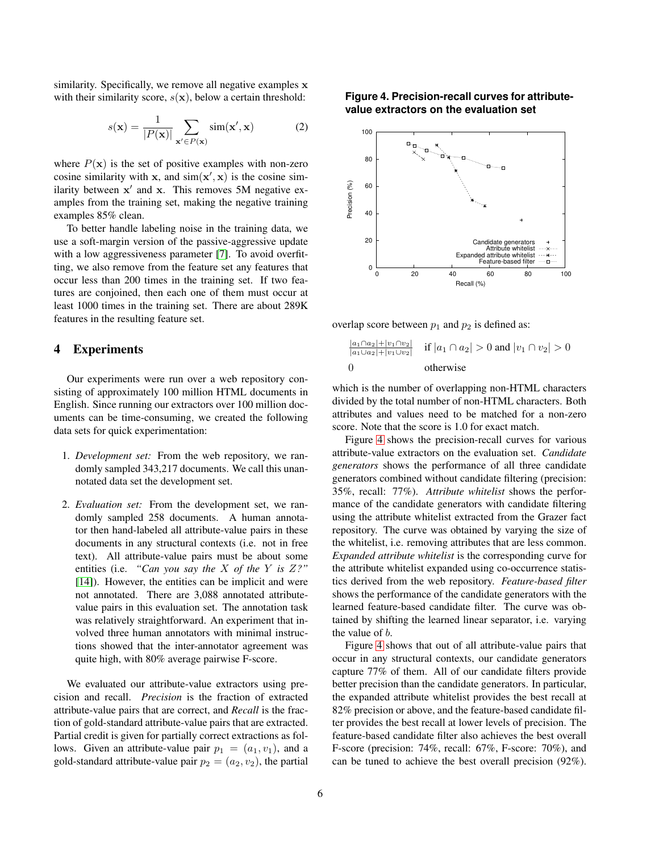similarity. Specifically, we remove all negative examples x with their similarity score,  $s(\mathbf{x})$ , below a certain threshold:

$$
s(\mathbf{x}) = \frac{1}{|P(\mathbf{x})|} \sum_{\mathbf{x}' \in P(\mathbf{x})} \text{sim}(\mathbf{x}', \mathbf{x})
$$
 (2)

where  $P(x)$  is the set of positive examples with non-zero cosine similarity with x, and  $sim(x', x)$  is the cosine similarity between  $x'$  and  $x$ . This removes 5M negative examples from the training set, making the negative training examples 85% clean.

To better handle labeling noise in the training data, we use a soft-margin version of the passive-aggressive update with a low aggressiveness parameter [\[7\]](#page-8-3). To avoid overfitting, we also remove from the feature set any features that occur less than 200 times in the training set. If two features are conjoined, then each one of them must occur at least 1000 times in the training set. There are about 289K features in the resulting feature set.

### <span id="page-5-0"></span>**4 Experiments**

Our experiments were run over a web repository consisting of approximately 100 million HTML documents in English. Since running our extractors over 100 million documents can be time-consuming, we created the following data sets for quick experimentation:

- 1. *Development set:* From the web repository, we randomly sampled 343,217 documents. We call this unannotated data set the development set.
- 2. *Evaluation set:* From the development set, we randomly sampled 258 documents. A human annotator then hand-labeled all attribute-value pairs in these documents in any structural contexts (i.e. not in free text). All attribute-value pairs must be about some entities (i.e. *"Can you say the* X *of the* Y *is* Z*?"* [\[14\]](#page-8-8)). However, the entities can be implicit and were not annotated. There are 3,088 annotated attributevalue pairs in this evaluation set. The annotation task was relatively straightforward. An experiment that involved three human annotators with minimal instructions showed that the inter-annotator agreement was quite high, with 80% average pairwise F-score.

We evaluated our attribute-value extractors using precision and recall. *Precision* is the fraction of extracted attribute-value pairs that are correct, and *Recall* is the fraction of gold-standard attribute-value pairs that are extracted. Partial credit is given for partially correct extractions as follows. Given an attribute-value pair  $p_1 = (a_1, v_1)$ , and a gold-standard attribute-value pair  $p_2 = (a_2, v_2)$ , the partial

#### <span id="page-5-1"></span>**Figure 4. Precision-recall curves for attributevalue extractors on the evaluation set**



overlap score between  $p_1$  and  $p_2$  is defined as:

$$
\frac{|a_1 \cap a_2| + |v_1 \cap v_2|}{|a_1 \cup a_2| + |v_1 \cup v_2|} \quad \text{if } |a_1 \cap a_2| > 0 \text{ and } |v_1 \cap v_2| > 0
$$
  
0 otherwise

which is the number of overlapping non-HTML characters divided by the total number of non-HTML characters. Both attributes and values need to be matched for a non-zero score. Note that the score is 1.0 for exact match.

Figure [4](#page-5-1) shows the precision-recall curves for various attribute-value extractors on the evaluation set. *Candidate generators* shows the performance of all three candidate generators combined without candidate filtering (precision: 35%, recall: 77%). *Attribute whitelist* shows the performance of the candidate generators with candidate filtering using the attribute whitelist extracted from the Grazer fact repository. The curve was obtained by varying the size of the whitelist, i.e. removing attributes that are less common. *Expanded attribute whitelist* is the corresponding curve for the attribute whitelist expanded using co-occurrence statistics derived from the web repository. *Feature-based filter* shows the performance of the candidate generators with the learned feature-based candidate filter. The curve was obtained by shifting the learned linear separator, i.e. varying the value of b.

Figure [4](#page-5-1) shows that out of all attribute-value pairs that occur in any structural contexts, our candidate generators capture 77% of them. All of our candidate filters provide better precision than the candidate generators. In particular, the expanded attribute whitelist provides the best recall at 82% precision or above, and the feature-based candidate filter provides the best recall at lower levels of precision. The feature-based candidate filter also achieves the best overall F-score (precision: 74%, recall: 67%, F-score: 70%), and can be tuned to achieve the best overall precision (92%).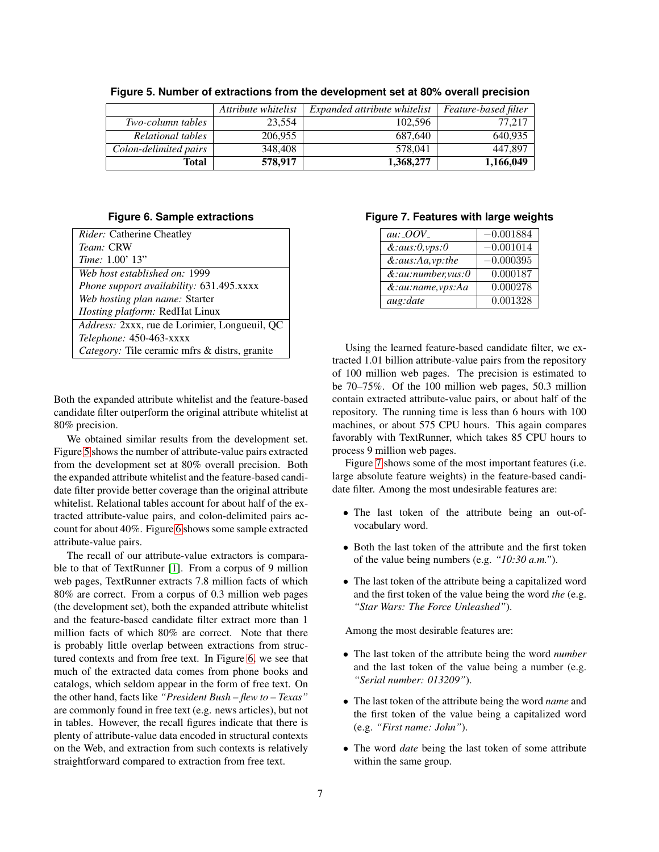|                       | Attribute whitelist | Expanded attribute whitelist | Feature-based filter |
|-----------------------|---------------------|------------------------------|----------------------|
| Two-column tables     | 23.554              | 102.596                      | 77.217               |
| Relational tables     | 206,955             | 687,640                      | 640.935              |
| Colon-delimited pairs | 348,408             | 578,041                      | 447.897              |
| Total                 | 578,917             | 1,368,277                    | 1,166,049            |

<span id="page-6-0"></span>**Figure 5. Number of extractions from the development set at 80% overall precision**

#### **Figure 6. Sample extractions**

<span id="page-6-1"></span>

Both the expanded attribute whitelist and the feature-based candidate filter outperform the original attribute whitelist at 80% precision.

We obtained similar results from the development set. Figure [5](#page-6-0) shows the number of attribute-value pairs extracted from the development set at 80% overall precision. Both the expanded attribute whitelist and the feature-based candidate filter provide better coverage than the original attribute whitelist. Relational tables account for about half of the extracted attribute-value pairs, and colon-delimited pairs account for about 40%. Figure [6](#page-6-1) shows some sample extracted attribute-value pairs.

The recall of our attribute-value extractors is comparable to that of TextRunner [\[1\]](#page-8-10). From a corpus of 9 million web pages, TextRunner extracts 7.8 million facts of which 80% are correct. From a corpus of 0.3 million web pages (the development set), both the expanded attribute whitelist and the feature-based candidate filter extract more than 1 million facts of which 80% are correct. Note that there is probably little overlap between extractions from structured contexts and from free text. In Figure [6,](#page-6-1) we see that much of the extracted data comes from phone books and catalogs, which seldom appear in the form of free text. On the other hand, facts like *"President Bush – flew to – Texas"* are commonly found in free text (e.g. news articles), but not in tables. However, the recall figures indicate that there is plenty of attribute-value data encoded in structural contexts on the Web, and extraction from such contexts is relatively straightforward compared to extraction from free text.

#### <span id="page-6-2"></span>**Figure 7. Features with large weights**

| $au:$ $OOV_$      | $-0.001884$ |
|-------------------|-------------|
| &: aus: 0, vps: 0 | $-0.001014$ |
| &:aus:Aa,vp:the   | $-0.000395$ |
| &:au:number,vus:0 | 0.000187    |
| &:au:name,vps:Aa  | 0.000278    |
| aug:date          | 0.001328    |

Using the learned feature-based candidate filter, we extracted 1.01 billion attribute-value pairs from the repository of 100 million web pages. The precision is estimated to be 70–75%. Of the 100 million web pages, 50.3 million contain extracted attribute-value pairs, or about half of the repository. The running time is less than 6 hours with 100 machines, or about 575 CPU hours. This again compares favorably with TextRunner, which takes 85 CPU hours to process 9 million web pages.

Figure [7](#page-6-2) shows some of the most important features (i.e. large absolute feature weights) in the feature-based candidate filter. Among the most undesirable features are:

- The last token of the attribute being an out-ofvocabulary word.
- Both the last token of the attribute and the first token of the value being numbers (e.g. *"10:30 a.m."*).
- The last token of the attribute being a capitalized word and the first token of the value being the word *the* (e.g. *"Star Wars: The Force Unleashed"*).

Among the most desirable features are:

- The last token of the attribute being the word *number* and the last token of the value being a number (e.g. *"Serial number: 013209"*).
- The last token of the attribute being the word *name* and the first token of the value being a capitalized word (e.g. *"First name: John"*).
- The word *date* being the last token of some attribute within the same group.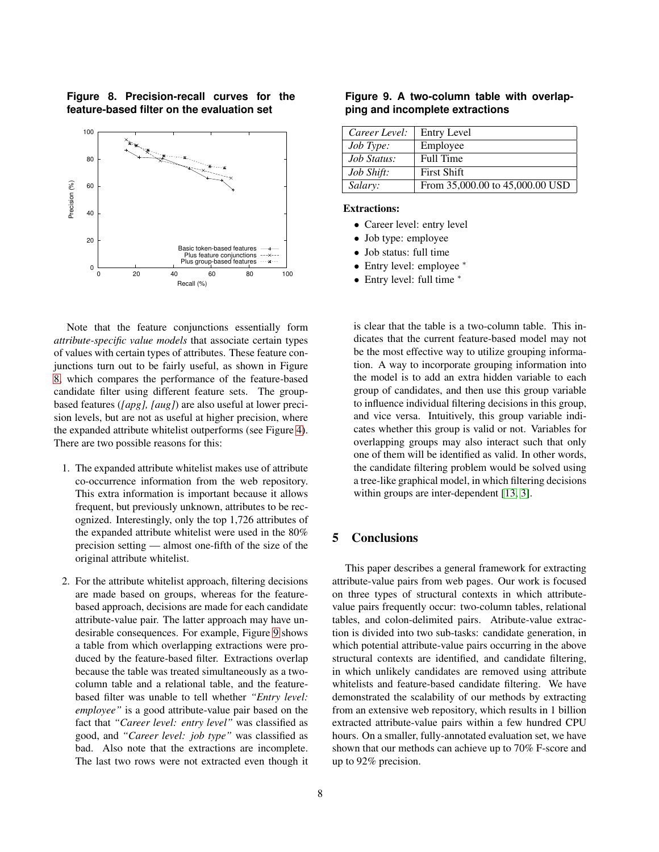<span id="page-7-0"></span>**Figure 8. Precision-recall curves for the feature-based filter on the evaluation set**



Note that the feature conjunctions essentially form *attribute-specific value models* that associate certain types of values with certain types of attributes. These feature conjunctions turn out to be fairly useful, as shown in Figure [8,](#page-7-0) which compares the performance of the feature-based candidate filter using different feature sets. The groupbased features (*[apg], [aug]*) are also useful at lower precision levels, but are not as useful at higher precision, where the expanded attribute whitelist outperforms (see Figure [4\)](#page-5-1). There are two possible reasons for this:

- 1. The expanded attribute whitelist makes use of attribute co-occurrence information from the web repository. This extra information is important because it allows frequent, but previously unknown, attributes to be recognized. Interestingly, only the top 1,726 attributes of the expanded attribute whitelist were used in the 80% precision setting — almost one-fifth of the size of the original attribute whitelist.
- 2. For the attribute whitelist approach, filtering decisions are made based on groups, whereas for the featurebased approach, decisions are made for each candidate attribute-value pair. The latter approach may have undesirable consequences. For example, Figure [9](#page-7-1) shows a table from which overlapping extractions were produced by the feature-based filter. Extractions overlap because the table was treated simultaneously as a twocolumn table and a relational table, and the featurebased filter was unable to tell whether *"Entry level: employee"* is a good attribute-value pair based on the fact that *"Career level: entry level"* was classified as good, and *"Career level: job type"* was classified as bad. Also note that the extractions are incomplete. The last two rows were not extracted even though it

<span id="page-7-1"></span>**Figure 9. A two-column table with overlapping and incomplete extractions**

| Career Level:     | <b>Entry Level</b>              |
|-------------------|---------------------------------|
| <i>Job Type:</i>  | Employee                        |
| Job Status:       | Full Time                       |
| <i>Job Shift:</i> | <b>First Shift</b>              |
| Salary:           | From 35,000.00 to 45,000.00 USD |

#### **Extractions:**

- Career level: entry level
- Job type: employee
- Job status: full time
- Entry level: employee <sup>∗</sup>
- Entry level: full time <sup>∗</sup>

is clear that the table is a two-column table. This indicates that the current feature-based model may not be the most effective way to utilize grouping information. A way to incorporate grouping information into the model is to add an extra hidden variable to each group of candidates, and then use this group variable to influence individual filtering decisions in this group, and vice versa. Intuitively, this group variable indicates whether this group is valid or not. Variables for overlapping groups may also interact such that only one of them will be identified as valid. In other words, the candidate filtering problem would be solved using a tree-like graphical model, in which filtering decisions within groups are inter-dependent [\[13,](#page-8-17) [3\]](#page-8-16).

## **5 Conclusions**

This paper describes a general framework for extracting attribute-value pairs from web pages. Our work is focused on three types of structural contexts in which attributevalue pairs frequently occur: two-column tables, relational tables, and colon-delimited pairs. Atribute-value extraction is divided into two sub-tasks: candidate generation, in which potential attribute-value pairs occurring in the above structural contexts are identified, and candidate filtering, in which unlikely candidates are removed using attribute whitelists and feature-based candidate filtering. We have demonstrated the scalability of our methods by extracting from an extensive web repository, which results in 1 billion extracted attribute-value pairs within a few hundred CPU hours. On a smaller, fully-annotated evaluation set, we have shown that our methods can achieve up to 70% F-score and up to 92% precision.